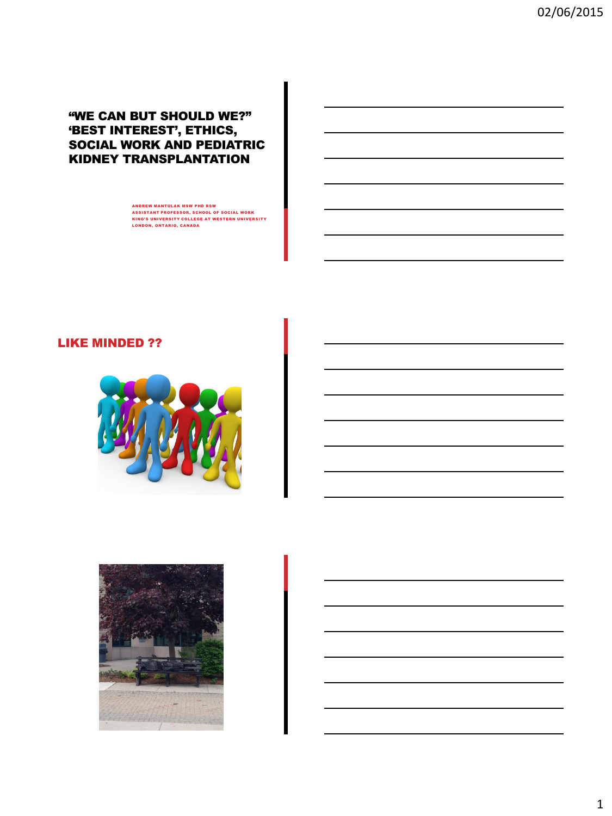# "WE CAN BUT SHOULD WE?" 'BEST INTEREST', ETHICS, SOCIAL WORK AND PEDIATRIC KIDNEY TRANSPLANTATION

ANDREW MANTULAK MSW PHD RSW<br>ASSISTANT PROFESSOR, SCHOOL OF SOCIAL WORK<br>KING'S UNIVERSITY COLLEGE AT WESTERN UNIVERSITY LONDON, ONTARIO, CANADA

# LIKE MINDED ??



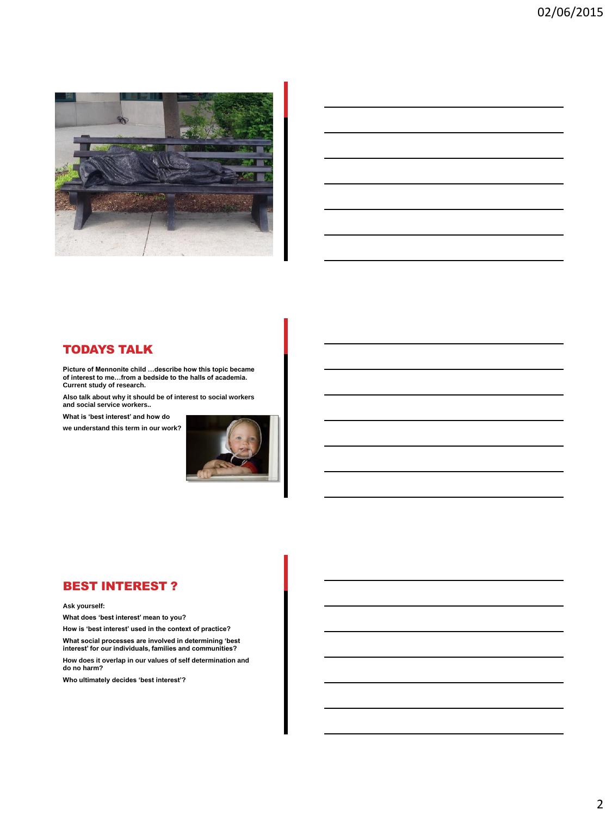

## TODAYS TALK

**Picture of Mennonite child …describe how this topic became of interest to me…from a bedside to the halls of academia. Current study of research.**

**Also talk about why it should be of interest to social workers and social service workers..**

**What is 'best interest' and how do** 

**we understand this term in our work?** 



## BEST INTEREST ?

#### **Ask yourself:**

**What does 'best interest' mean to you?** 

**How is 'best interest' used in the context of practice?** 

**What social processes are involved in determining 'best interest' for our individuals, families and communities?** 

**How does it overlap in our values of self determination and do no harm?** 

**Who ultimately decides 'best interest'?**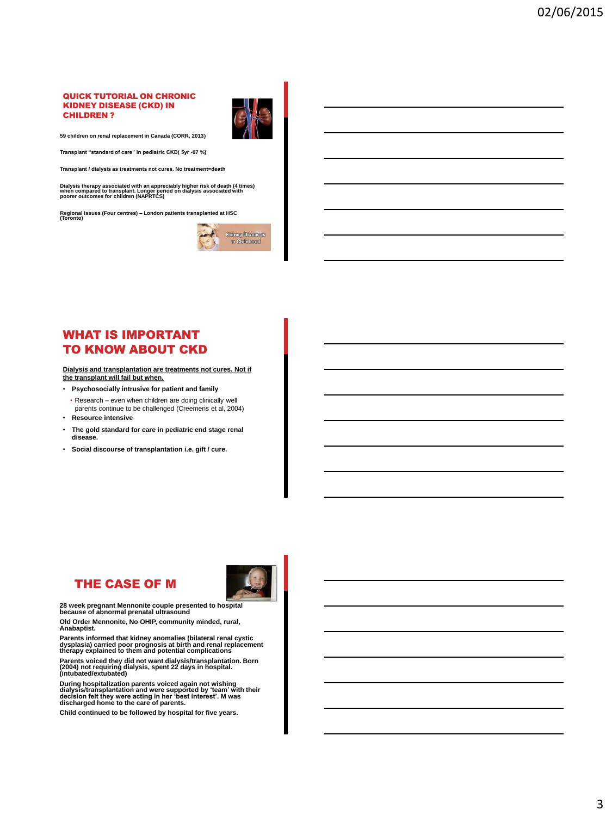#### QUICK TUTORIAL ON CHRONIC KIDNEY DISEASE (CKD) IN CHILDREN ?



**59 children on renal replacement in Canada (CORR, 2013)**

**Transplant "standard of care" in pediatric CKD( 5yr -97 %)**

**Transplant / dialysis as treatments not cures. No treatment=death**

**Dialysis therapy associated with an appreciably higher risk of death (4 times) when compared to transplant. Longer period on dialysis associated with poorer outcomes for children (NAPRTCS)**

**Regional issues (Four centres) – London patients transplanted at HSC (Toronto)**



# WHAT IS IMPORTANT TO KNOW ABOUT CKD

**Dialysis and transplantation are treatments not cures. Not if the transplant will fail but when.** 

- **Psychosocially intrusive for patient and family** • Research – even when children are doing clinically well
- parents continue to be challenged (Creemens et al, 2004) • **Resource intensive**
- **The gold standard for care in pediatric end stage renal disease.**
- **Social discourse of transplantation i.e. gift / cure.**

# THE CASE OF M



**28 week pregnant Mennonite couple presented to hospital because of abnormal prenatal ultrasound** 

**Old Order Mennonite, No OHIP, community minded, rural, Anabaptist.** 

Parents informed that kidney anomalies (bilateral renal cystic<br>dysplasia) carried poor prognosis at birth and renal replacement<br>therapy explained to them and potential complications

**Parents voiced they did not want dialysis/transplantation. Born (2004) not requiring dialysis, spent 22 days in hospital. (intubated/extubated)**

During hospitalization parents voiced again not wishing<br>dialysis/transplantation and were supported by 'team' with their<br>decision felt they were acting in her 'best interest'. M was<br>discharged home to the care of parents.

**Child continued to be followed by hospital for five years.**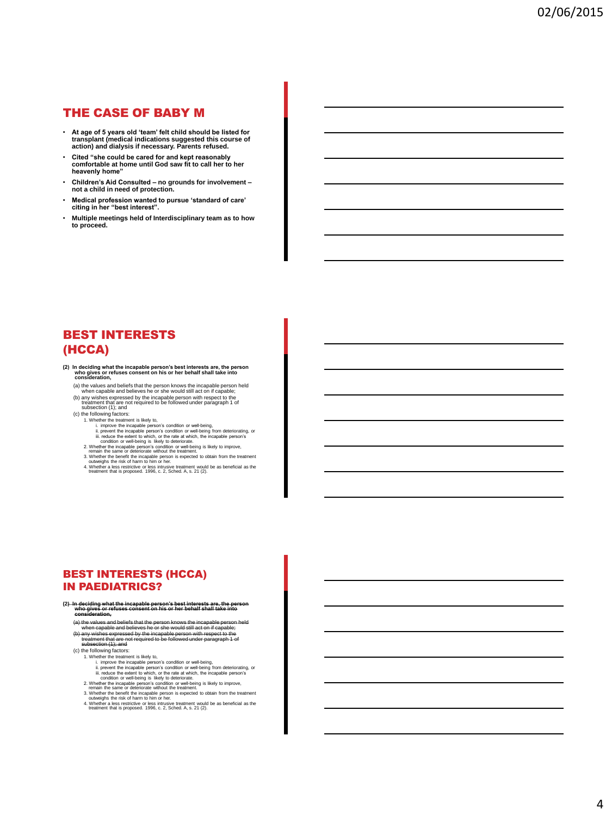## THE CASE OF BABY M

- **At age of 5 years old 'team' felt child should be listed for transplant (medical indications suggested this course of action) and dialysis if necessary. Parents refused.**
- **Cited "she could be cared for and kept reasonably comfortable at home until God saw fit to call her to her heavenly home"**
- **Children's Aid Consulted – no grounds for involvement – not a child in need of protection.**
- **Medical profession wanted to pursue 'standard of care' citing in her "best interest".**
- **Multiple meetings held of Interdisciplinary team as to how to proceed.**

# BEST INTERESTS (HCCA)

- **(2) In deciding what the incapable person's best interests are, the person who gives or refuses consent on his or her behalf shall take into consideration,**
	-
	- (a) the values and beliefs that the person knows the incapable person (a) when capable and believes he or she would still act on if capable; (b) any wishes expressed by the incapable person with respect to the subsection (
	-
	- 1. Whether the treatment is likely to,
		- i. improve the incapable person's condition or well-being,<br>iii. prevent the incapable person's condition or well-being from deteriorating, or<br>iii. reduce the extent to which, or the rate at which, the incapable person's<br>"
		-
		-
		-
		- 2. Whether the incapable person's condition or well-being is likely to improve,<br>remain the same or deteriorate without the treatment.<br>3. Whether the benefit the incapable person is expected to obtain from the treatment<br>cou

## BEST INTERESTS (HCCA) IN PAEDIATRICS?

- **(2) In deciding what the incapable person's best interests are, the person who gives or refuses consent on his or her behalf shall take into consideration,**
	- (a) the values and beliefs that the person knows the incapable person held<br>when capable and believes he or-she would still act on if capable;<br>(b) any wishes expressed by the incapable person with respect to the<br>treatment t
	-
	- (c) the following factors: 1. Whether the treatment is likely to,
		- - i. improve the incapable person's condition or well-being,<br>ii. prevent the incapable person's condition or well-being from deteriorating, or<br>iii. reduce the extent to which, or the rate at which, the incapable person's<br>con
		-
		- 2. Whether the incapable person's condition or well-being is likely to improve, remain the same or deteriorate without the treatment.
		- 3. Whether the benefit the incapable person is expected to obtain from the treatment outweighs the risk of harm to him or her.
		- 4. Whether a less restrictive or less intrusive treatment would be as beneficial as the treatment that is proposed. 1996, c. 2, Sched. A, s. 21 (2).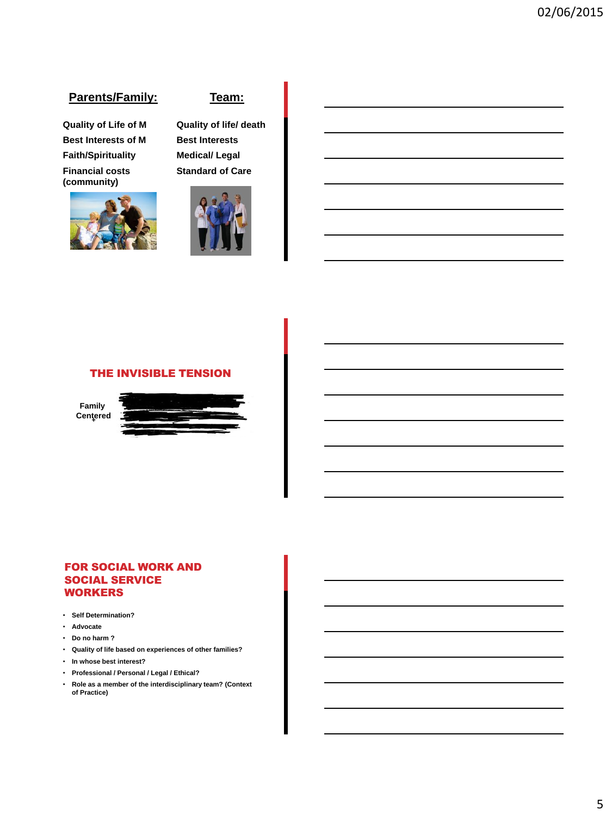# **Parents/Family:**

**Quality of Life of M Best Interests of M Faith/Spirituality Financial costs (community)**



## **Team:**

**Quality of life/ death Best Interests Medical/ Legal Standard of Care**



### THE INVISIBLE TENSION

**Family Centered** 



#### FOR SOCIAL WORK AND SOCIAL SERVICE **WORKERS**

- **Self Determination?**
- **Advocate**
- **Do no harm ?**
- **Quality of life based on experiences of other families?**
- **In whose best interest?**
- **Professional / Personal / Legal / Ethical?**
- **Role as a member of the interdisciplinary team? (Context of Practice)**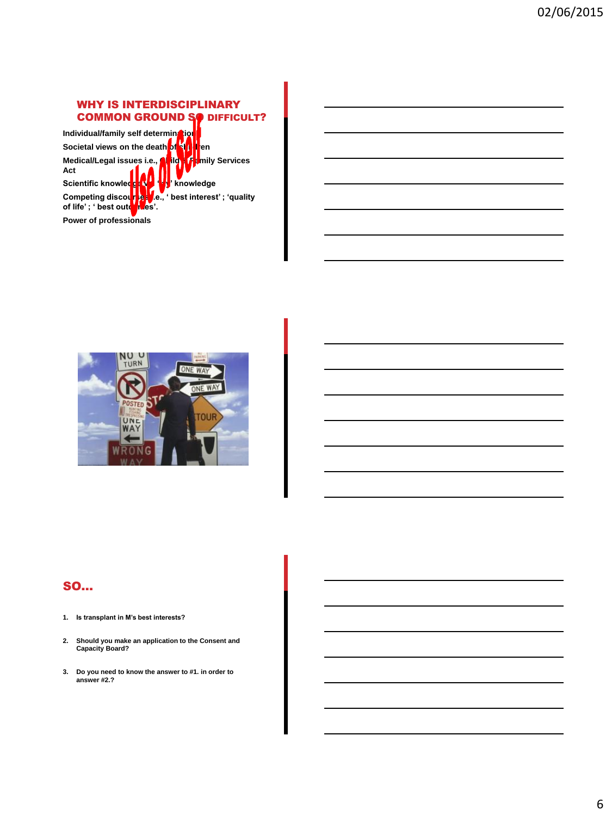# WHY IS INTERDISCIPLINARY **COMMON GROUND SO DIFFICULT?**

**Individual/family self determination Societal views on the death of kill then Medical/Legal issues i.e., Child & Family Services Act** Scientific knowledge version when we have a set of the set of the set of the set of the set of the set of the set of the set of the set of the set of the set of the set of the set of the set of the set of the set of the se **Le., ' best interest' ; 'quality Competing discourse: Power of professionals**



# SO…

- **1. Is transplant in M's best interests?**
- **2. Should you make an application to the Consent and Capacity Board?**
- **3. Do you need to know the answer to #1. in order to answer #2.?**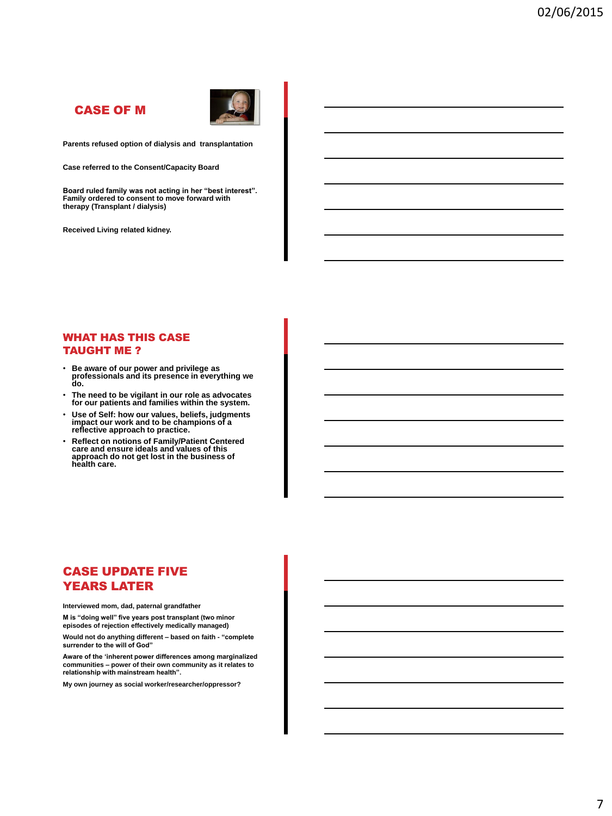# CASE OF M



**Parents refused option of dialysis and transplantation**

**Case referred to the Consent/Capacity Board**

**Board ruled family was not acting in her "best interest". Family ordered to consent to move forward with therapy (Transplant / dialysis)** 

**Received Living related kidney.**

#### WHAT HAS THIS CASE TAUGHT ME ?

- **Be aware of our power and privilege as professionals and its presence in everything we do.**
- **The need to be vigilant in our role as advocates for our patients and families within the system.**
- **Use of Self: how our values, beliefs, judgments impact our work and to be champions of a reflective approach to practice.**
- **Reflect on notions of Family/Patient Centered care and ensure ideals and values of this approach do not get lost in the business of health care.**

# CASE UPDATE FIVE YEARS LATER

**Interviewed mom, dad, paternal grandfather**

**M is "doing well" five years post transplant (two minor episodes of rejection effectively medically managed)**

**Would not do anything different – based on faith - "complete surrender to the will of God"**

**Aware of the 'inherent power differences among marginalized communities – power of their own community as it relates to relationship with mainstream health".**

**My own journey as social worker/researcher/oppressor?**